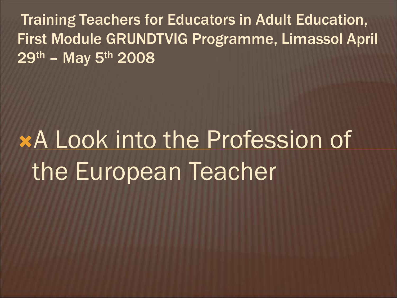Training Teachers for Educators in Adult Education, First Module GRUNDTVIG Programme, Limassol April  $29<sup>th</sup>$  – May  $5<sup>th</sup>$  2008

# A Look into the Profession of the European Teacher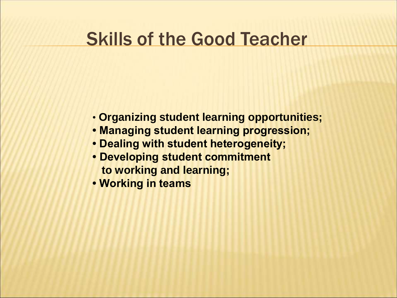# Skills of the Good Teacher

- **Organizing student learning opportunities;**
- **Managing student learning progression;**
- **Dealing with student heterogeneity;**
- **Developing student commitment to working and learning;**
- **Working in teams**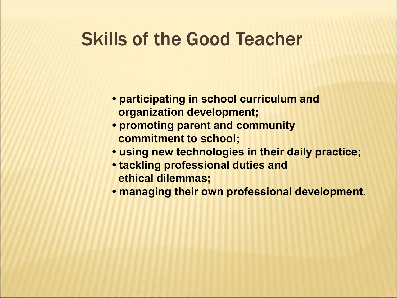## Skills of the Good Teacher

- **participating in school curriculum and organization development;**
- **promoting parent and community commitment to school;**
- **using new technologies in their daily practice;**
- **tackling professional duties and ethical dilemmas;**
- **managing their own professional development.**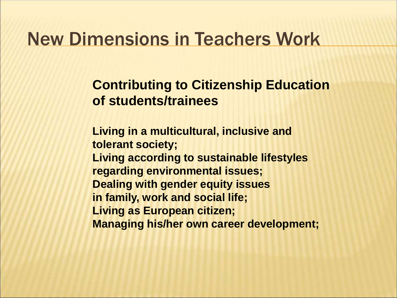**Contributing to Citizenship Education of students/trainees** 

**Living in a multicultural, inclusive and tolerant society; Living according to sustainable lifestyles regarding environmental issues; Dealing with gender equity issues in family, work and social life; Living as European citizen; Managing his/her own career development;**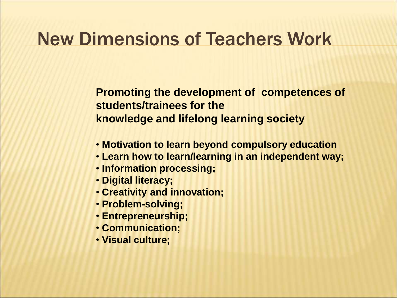**Promoting the development of competences of students/trainees for the knowledge and lifelong learning society** 

- **Motivation to learn beyond compulsory education**
- **Learn how to learn/learning in an independent way;**
- **Information processing;**
- **Digital literacy;**
- **Creativity and innovation;**
- **Problem-solving;**
- **Entrepreneurship;**
- **Communication;**
- **Visual culture;**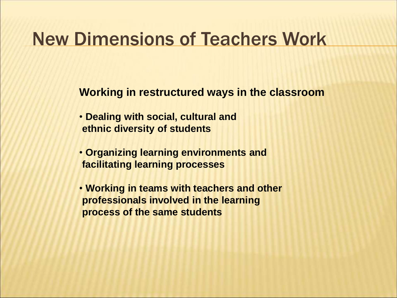**Working in restructured ways in the classroom** 

- **Dealing with social, cultural and ethnic diversity of students**
- **Organizing learning environments and facilitating learning processes**
- **Working in teams with teachers and other professionals involved in the learning process of the same students**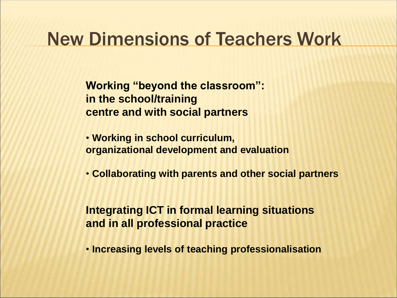**Working "beyond the classroom": in the school/training centre and with social partners** 

• **Working in school curriculum, organizational development and evaluation** 

• **Collaborating with parents and other social partners**

**Integrating ICT in formal learning situations and in all professional practice**

• **Increasing levels of teaching professionalisation**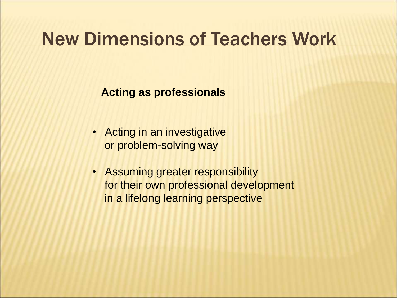**Acting as professionals**

- Acting in an investigative or problem-solving way
- Assuming greater responsibility for their own professional development in a lifelong learning perspective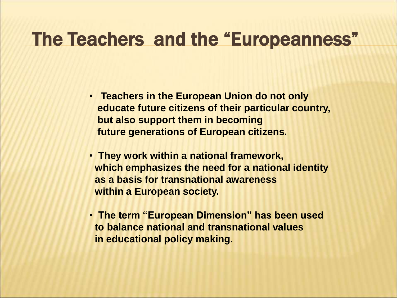# The Teachers and the "Europeanness"

- **Teachers in the European Union do not only educate future citizens of their particular country, but also support them in becoming future generations of European citizens.**
- **They work within a national framework, which emphasizes the need for a national identity as a basis for transnational awareness within a European society.**
- **The term "European Dimension" has been used to balance national and transnational values in educational policy making.**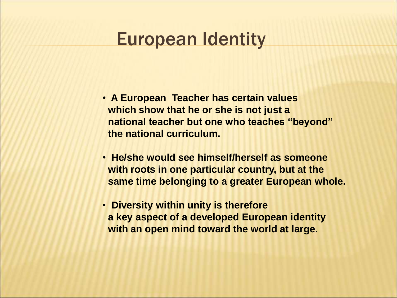#### European Identity

- **A European Teacher has certain values which show that he or she is not just a national teacher but one who teaches "beyond" the national curriculum.**
- **He/she would see himself/herself as someone with roots in one particular country, but at the same time belonging to a greater European whole.**
- **Diversity within unity is therefore a key aspect of a developed European identity with an open mind toward the world at large.**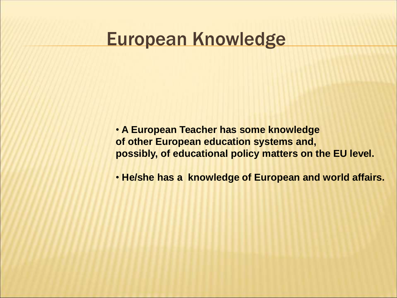#### European Knowledge

• **A European Teacher has some knowledge of other European education systems and, possibly, of educational policy matters on the EU level.** 

• **He/she has a knowledge of European and world affairs.**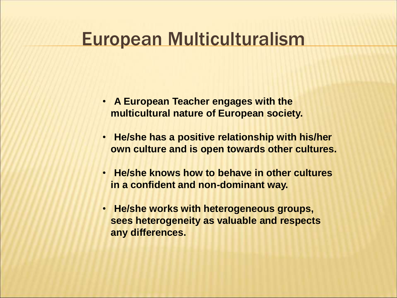# European Multiculturalism

- **A European Teacher engages with the multicultural nature of European society.**
- **He/she has a positive relationship with his/her own culture and is open towards other cultures.**
- **He/she knows how to behave in other cultures in a confident and non-dominant way.**
- **He/she works with heterogeneous groups, sees heterogeneity as valuable and respects any differences.**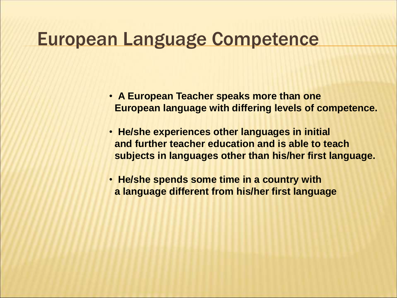#### European Language Competence

- **A European Teacher speaks more than one European language with differing levels of competence.**
- **He/she experiences other languages in initial and further teacher education and is able to teach subjects in languages other than his/her first language.**
- **He/she spends some time in a country with a language different from his/her first language**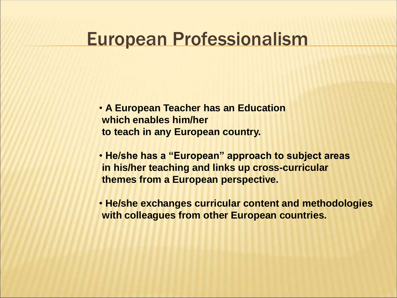#### European Professionalism

- **A European Teacher has an Education which enables him/her to teach in any European country.**
- **He/she has a "European" approach to subject areas in his/her teaching and links up cross-curricular themes from a European perspective.**
- **He/she exchanges curricular content and methodologies with colleagues from other European countries.**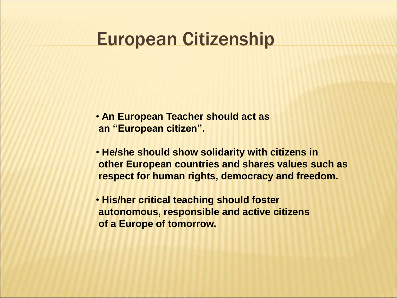## European Citizenship

- **An European Teacher should act as an "European citizen".**
- **He/she should show solidarity with citizens in other European countries and shares values such as respect for human rights, democracy and freedom.**
- **His/her critical teaching should foster autonomous, responsible and active citizens of a Europe of tomorrow.**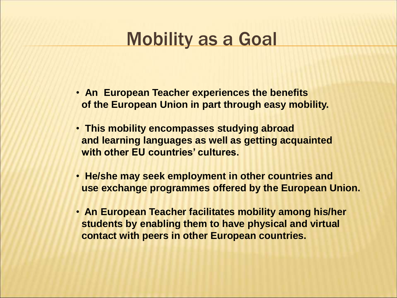# **Mobility as a Goal**

- **An European Teacher experiences the benefits of the European Union in part through easy mobility.**
- **This mobility encompasses studying abroad and learning languages as well as getting acquainted with other EU countries' cultures.**
- **He/she may seek employment in other countries and use exchange programmes offered by the European Union.**
- **An European Teacher facilitates mobility among his/her students by enabling them to have physical and virtual contact with peers in other European countries.**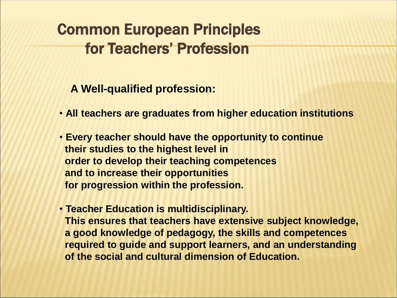**A Well-qualified profession:**

- **All teachers are graduates from higher education institutions**
- **Every teacher should have the opportunity to continue their studies to the highest level in order to develop their teaching competences and to increase their opportunities for progression within the profession.**
- **Teacher Education is multidisciplinary. This ensures that teachers have extensive subject knowledge, a good knowledge of pedagogy, the skills and competences required to guide and support learners, and an understanding of the social and cultural dimension of Education.**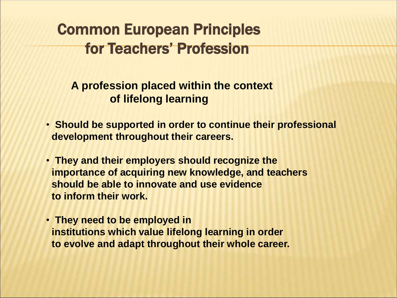**A profession placed within the context of lifelong learning**

- **Should be supported in order to continue their professional development throughout their careers.**
- **They and their employers should recognize the importance of acquiring new knowledge, and teachers should be able to innovate and use evidence to inform their work.**
- **They need to be employed in institutions which value lifelong learning in order to evolve and adapt throughout their whole career.**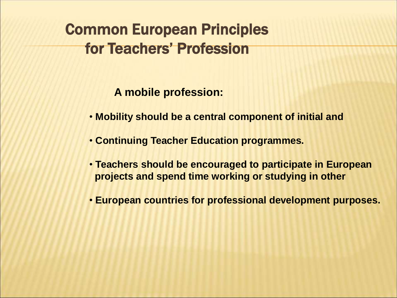**A mobile profession:**

- **Mobility should be a central component of initial and**
- **Continuing Teacher Education programmes.**
- **Teachers should be encouraged to participate in European projects and spend time working or studying in other**
- **European countries for professional development purposes.**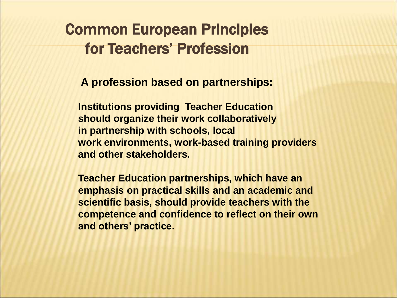**A profession based on partnerships:**

**Institutions providing Teacher Education should organize their work collaboratively in partnership with schools, local work environments, work-based training providers and other stakeholders.** 

**Teacher Education partnerships, which have an emphasis on practical skills and an academic and scientific basis, should provide teachers with the competence and confidence to reflect on their own and others' practice.**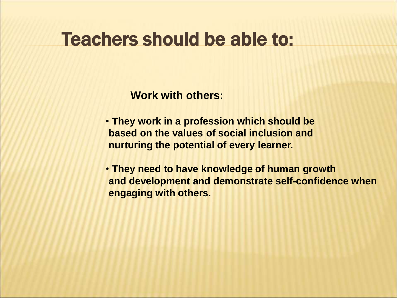**Work with others:** 

- **They work in a profession which should be based on the values of social inclusion and nurturing the potential of every learner.**
- **They need to have knowledge of human growth and development and demonstrate self-confidence when engaging with others.**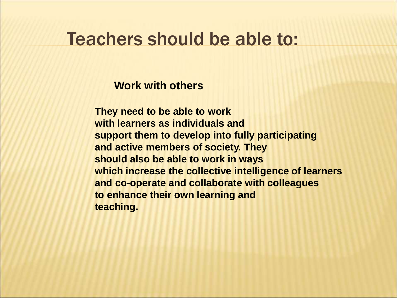#### **Work with others**

**They need to be able to work with learners as individuals and support them to develop into fully participating and active members of society. They should also be able to work in ways which increase the collective intelligence of learners and co-operate and collaborate with colleagues to enhance their own learning and teaching.**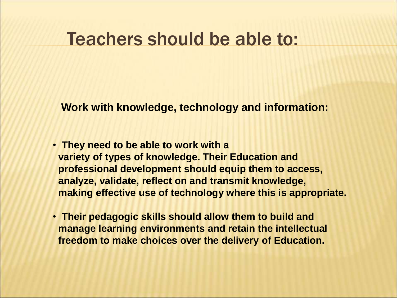**Work with knowledge, technology and information:** 

- **They need to be able to work with a variety of types of knowledge. Their Education and professional development should equip them to access, analyze, validate, reflect on and transmit knowledge, making effective use of technology where this is appropriate.**
- **Their pedagogic skills should allow them to build and manage learning environments and retain the intellectual freedom to make choices over the delivery of Education.**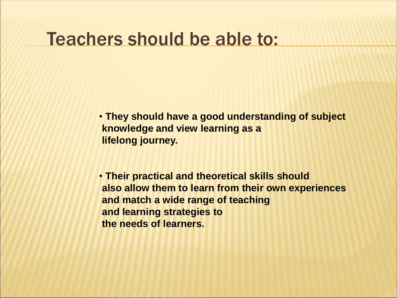• **They should have a good understanding of subject knowledge and view learning as a lifelong journey.** 

• **Their practical and theoretical skills should also allow them to learn from their own experiences and match a wide range of teaching and learning strategies to the needs of learners.**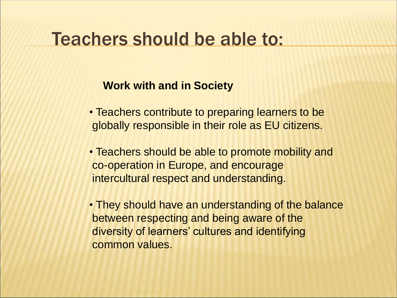#### **Work with and in Society**

- Teachers contribute to preparing learners to be globally responsible in their role as EU citizens.
- Teachers should be able to promote mobility and co-operation in Europe, and encourage intercultural respect and understanding.
- They should have an understanding of the balance between respecting and being aware of the diversity of learners' cultures and identifying common values.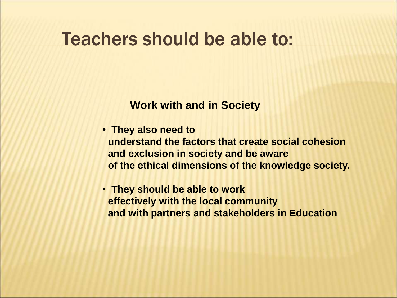**Work with and in Society**

- **They also need to understand the factors that create social cohesion and exclusion in society and be aware of the ethical dimensions of the knowledge society.**
- **They should be able to work effectively with the local community and with partners and stakeholders in Education**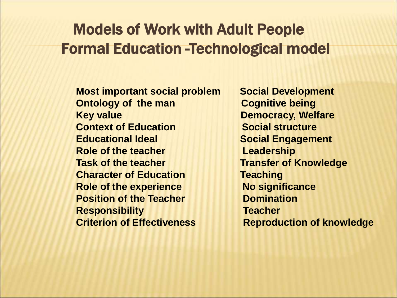#### Models of Work with Adult People Formal Education -Technological model

**Most important social problem Social Development Ontology of the man Cognitive being Key value Construction Construction Construction Democracy, Welfare Context of Education Social structure Educational Ideal Social Engagement Role of the teacher Example 20 Leadership Task of the teacher Transfer of Knowledge Character of Education Teaching Role of the experience Mo significance Position of the Teacher Communistion Responsibility Teacher Criterion of Effectiveness Reproduction of knowledge**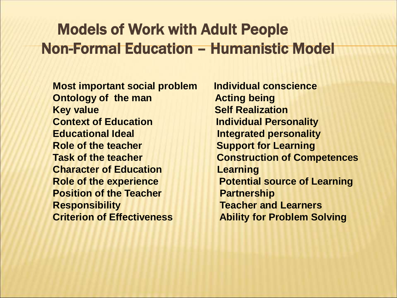#### Models of Work with Adult People Non-Formal Education – Humanistic Model

**Most important social problem Individual conscience Ontology of the man being and acting being Key value Self Realization Context of Education Individual Personality Educational Ideal integrated personality Role of the teacher Support for Learning Construction Construction Construction Construction Construction Construction Construction Construction Construction Construction Construction Construction Construction Constructio Character of Education Learning Role of the experience Service Rotential source of Learning Position of the Teacher Concrete Partnership Responsibility Teacher and Learners Criterion of Effectiveness Ability for Problem Solving** 

**Task of the teacher Construction of Competences**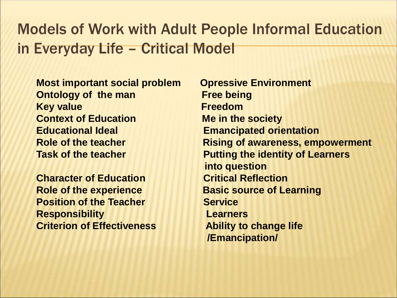#### Models of Work with Adult People Informal Education in Everyday Life – Critical Model

- **Most important social problem Opressive Environment Ontology of the man Free being Key value Freedom Context of Education Me in the society Educational Ideal Emancipated orientation**
- **Character of Education Critical Reflection Position of the Teacher Service Responsibility Learners Criterion of Effectiveness Ability to change life**
- **Role of the teacher <b>Rising of awareness, empowerment Task of the teacher Task of the teacher All contracts into question Role of the experience <b>Basic source of Learning /Emancipation/**